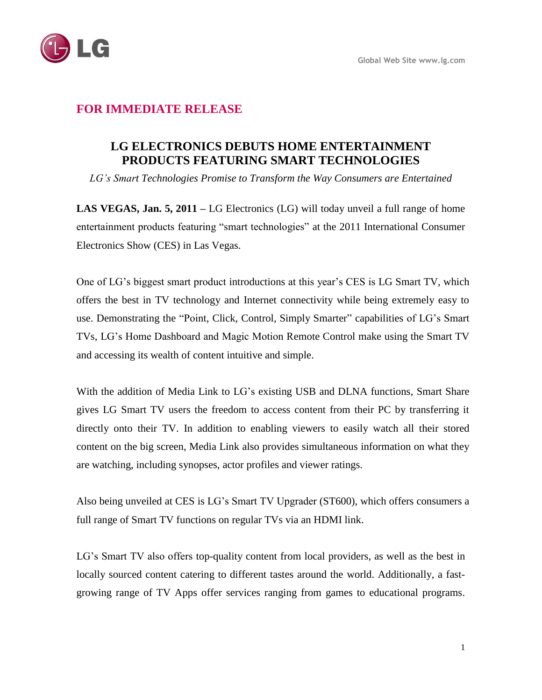

## **FOR IMMEDIATE RELEASE**

# **LG ELECTRONICS DEBUTS HOME ENTERTAINMENT PRODUCTS FEATURING SMART TECHNOLOGIES**

*LG's Smart Technologies Promise to Transform the Way Consumers are Entertained*

**LAS VEGAS, Jan. 5, 2011 –** LG Electronics (LG) will today unveil a full range of home entertainment products featuring "smart technologies" at the 2011 International Consumer Electronics Show (CES) in Las Vegas.

One of LG's biggest smart product introductions at this year's CES is LG Smart TV, which offers the best in TV technology and Internet connectivity while being extremely easy to use. Demonstrating the "Point, Click, Control, Simply Smarter" capabilities of LG's Smart TVs, LG's Home Dashboard and Magic Motion Remote Control make using the Smart TV and accessing its wealth of content intuitive and simple.

With the addition of Media Link to LG's existing USB and DLNA functions, Smart Share gives LG Smart TV users the freedom to access content from their PC by transferring it directly onto their TV. In addition to enabling viewers to easily watch all their stored content on the big screen, Media Link also provides simultaneous information on what they are watching, including synopses, actor profiles and viewer ratings.

Also being unveiled at CES is LG's Smart TV Upgrader (ST600), which offers consumers a full range of Smart TV functions on regular TVs via an HDMI link.

LG's Smart TV also offers top-quality content from local providers, as well as the best in locally sourced content catering to different tastes around the world. Additionally, a fastgrowing range of TV Apps offer services ranging from games to educational programs.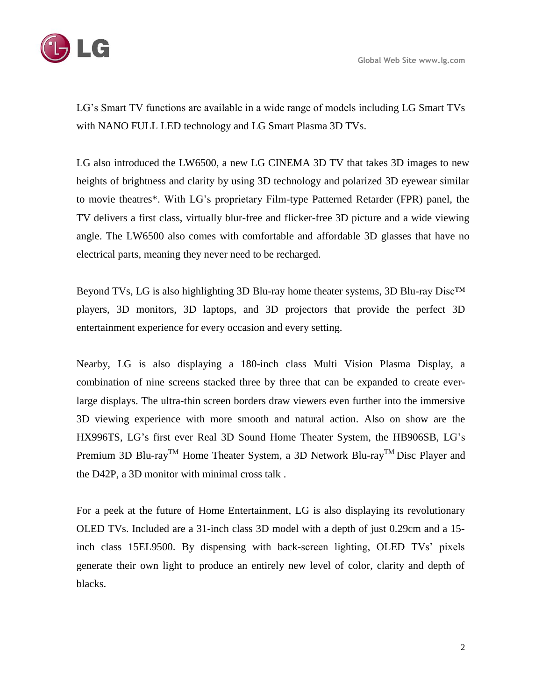

LG's Smart TV functions are available in a wide range of models including LG Smart TVs with NANO FULL LED technology and LG Smart Plasma 3D TVs.

LG also introduced the LW6500, a new LG CINEMA 3D TV that takes 3D images to new heights of brightness and clarity by using 3D technology and polarized 3D eyewear similar to movie theatres\*. With LG's proprietary Film-type Patterned Retarder (FPR) panel, the TV delivers a first class, virtually blur-free and flicker-free 3D picture and a wide viewing angle. The LW6500 also comes with comfortable and affordable 3D glasses that have no electrical parts, meaning they never need to be recharged.

Beyond TVs, LG is also highlighting 3D Blu-ray home theater systems, 3D Blu-ray Disc<sup>™</sup> players, 3D monitors, 3D laptops, and 3D projectors that provide the perfect 3D entertainment experience for every occasion and every setting.

Nearby, LG is also displaying a 180-inch class Multi Vision Plasma Display, a combination of nine screens stacked three by three that can be expanded to create everlarge displays. The ultra-thin screen borders draw viewers even further into the immersive 3D viewing experience with more smooth and natural action. Also on show are the HX996TS, LG's first ever Real 3D Sound Home Theater System, the HB906SB, LG's Premium 3D Blu-ray<sup>TM</sup> Home Theater System, a 3D Network Blu-ray<sup>TM</sup> Disc Player and the D42P, a 3D monitor with minimal cross talk .

For a peek at the future of Home Entertainment, LG is also displaying its revolutionary OLED TVs. Included are a 31-inch class 3D model with a depth of just 0.29cm and a 15 inch class 15EL9500. By dispensing with back-screen lighting, OLED TVs' pixels generate their own light to produce an entirely new level of color, clarity and depth of blacks.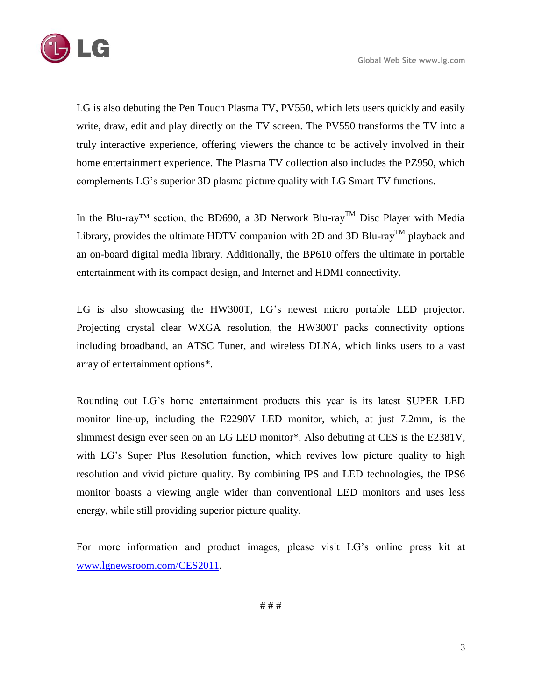

LG is also debuting the Pen Touch Plasma TV, PV550, which lets users quickly and easily write, draw, edit and play directly on the TV screen. The PV550 transforms the TV into a truly interactive experience, offering viewers the chance to be actively involved in their home entertainment experience. The Plasma TV collection also includes the PZ950, which complements LG's superior 3D plasma picture quality with LG Smart TV functions.

In the Blu-ray<sup>TM</sup> section, the BD690, a 3D Network Blu-ray<sup>TM</sup> Disc Player with Media Library, provides the ultimate HDTV companion with 2D and 3D Blu-ray<sup>TM</sup> playback and an on-board digital media library. Additionally, the BP610 offers the ultimate in portable entertainment with its compact design, and Internet and HDMI connectivity.

LG is also showcasing the HW300T, LG's newest micro portable LED projector. Projecting crystal clear WXGA resolution, the HW300T packs connectivity options including broadband, an ATSC Tuner, and wireless DLNA, which links users to a vast array of entertainment options\*.

Rounding out LG's home entertainment products this year is its latest SUPER LED monitor line-up, including the E2290V LED monitor, which, at just 7.2mm, is the slimmest design ever seen on an LG LED monitor\*. Also debuting at CES is the E2381V, with LG's Super Plus Resolution function, which revives low picture quality to high resolution and vivid picture quality. By combining IPS and LED technologies, the IPS6 monitor boasts a viewing angle wider than conventional LED monitors and uses less energy, while still providing superior picture quality.

For more information and product images, please visit LG's online press kit at [www.lgnewsroom.com/CES2011.](http://www.lgnewsroom.com/CES2011)